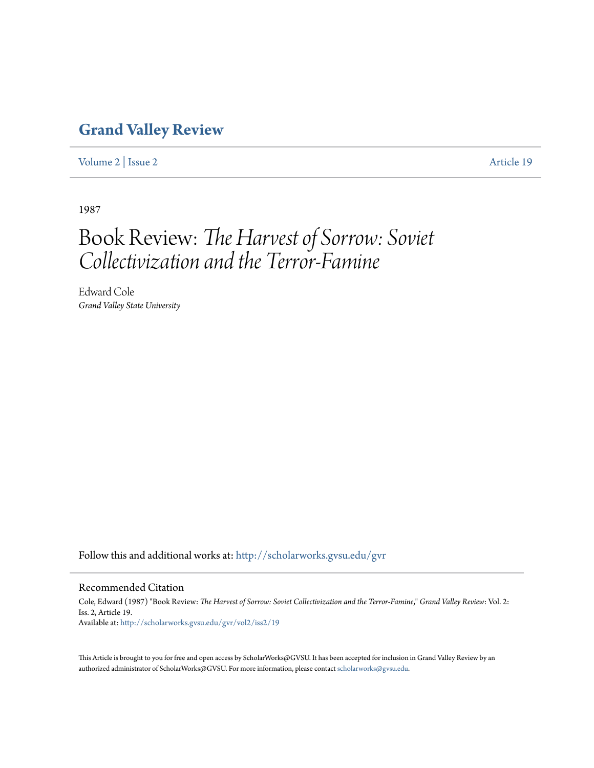## **[Grand Valley Review](http://scholarworks.gvsu.edu/gvr?utm_source=scholarworks.gvsu.edu%2Fgvr%2Fvol2%2Fiss2%2F19&utm_medium=PDF&utm_campaign=PDFCoverPages)**

[Volume 2](http://scholarworks.gvsu.edu/gvr/vol2?utm_source=scholarworks.gvsu.edu%2Fgvr%2Fvol2%2Fiss2%2F19&utm_medium=PDF&utm_campaign=PDFCoverPages) | [Issue 2](http://scholarworks.gvsu.edu/gvr/vol2/iss2?utm_source=scholarworks.gvsu.edu%2Fgvr%2Fvol2%2Fiss2%2F19&utm_medium=PDF&utm_campaign=PDFCoverPages) [Article 19](http://scholarworks.gvsu.edu/gvr/vol2/iss2/19?utm_source=scholarworks.gvsu.edu%2Fgvr%2Fvol2%2Fiss2%2F19&utm_medium=PDF&utm_campaign=PDFCoverPages)

1987

# Book Review: *The Harvest of Sorrow: Soviet Collectivization and the Terror-Famine*

Edward Cole *Grand Valley State University*

Follow this and additional works at: [http://scholarworks.gvsu.edu/gvr](http://scholarworks.gvsu.edu/gvr?utm_source=scholarworks.gvsu.edu%2Fgvr%2Fvol2%2Fiss2%2F19&utm_medium=PDF&utm_campaign=PDFCoverPages)

### Recommended Citation

Cole, Edward (1987) "Book Review: *The Harvest of Sorrow: Soviet Collectivization and the Terror-Famine*," *Grand Valley Review*: Vol. 2: Iss. 2, Article 19. Available at: [http://scholarworks.gvsu.edu/gvr/vol2/iss2/19](http://scholarworks.gvsu.edu/gvr/vol2/iss2/19?utm_source=scholarworks.gvsu.edu%2Fgvr%2Fvol2%2Fiss2%2F19&utm_medium=PDF&utm_campaign=PDFCoverPages)

This Article is brought to you for free and open access by ScholarWorks@GVSU. It has been accepted for inclusion in Grand Valley Review by an authorized administrator of ScholarWorks@GVSU. For more information, please contact [scholarworks@gvsu.edu.](mailto:scholarworks@gvsu.edu)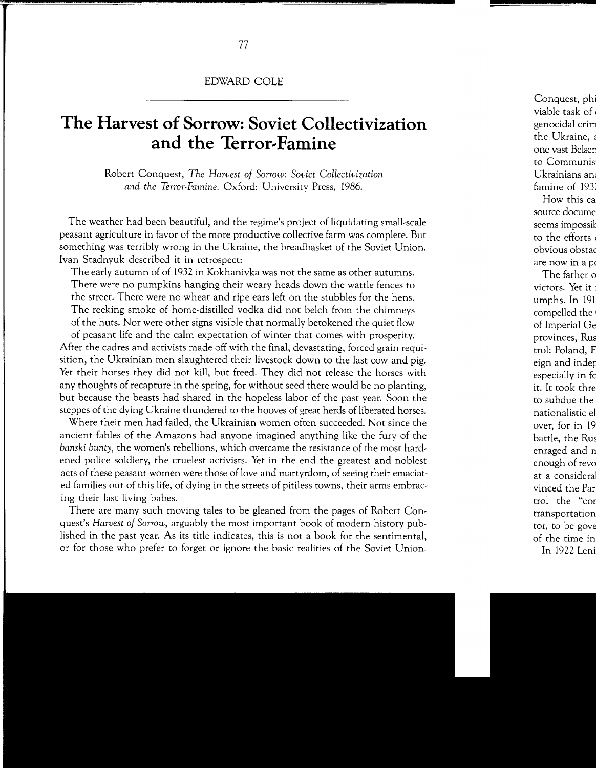## **The Harvest of Sorrow: Soviet Collectivization**  and the Terror-Famine

Robert Conquest, *The Harvest of Sorrow: Soviet Collectivization and the Terror-Famine.* Oxford: University Press, 1986.

The weather had been beautiful, and the regime's project of liquidating small-scale peasant agriculture in favor of the more productive collective farm was complete. But something was terribly wrong in the Ukraine, the breadbasket of the Soviet Union. Ivan Stadnyuk described it in retrospect:

The early autumn of of 1932 in Kokhanivka was not the same as other autumns. There were no pumpkins hanging their weary heads down the wattle fences to the street. There were no wheat and ripe ears left on the stubbles for the hens. The reeking smoke of home-distilled vodka did not belch from the chimneys of the huts. Nor were other signs visible that normally betokened the quiet flow

of peasant life and the calm expectation of winter that comes with prosperity. After the cadres and activists made off with the final, devastating, forced grain requisition, the Ukrainian men slaughtered their livestock down to the last cow and pig. Yet their horses they did not kill, but freed. They did not release the horses with any thoughts of recapture in the spring, for without seed there would be no planting, but because the beasts had shared in the hopeless labor of the past year. Soon the steppes of the dying Ukraine thundered to the hooves of great herds of liberated horses.

Where their men had failed, the Ukrainian women often succeeded. Not since the ancient fables of the Amazons had anyone imagined anything like the fury of the *banski bunty,* the women's rebellions, which overcame the resistance of the most hardened police soldiery, the cruelest activists. Yet in the end the greatest and noblest acts of these peasant women were those of love and martyrdom, of seeing their emaciated families out of this life, of dying in the streets of pitiless towns, their arms embracing their last living babes.

There are many such moving tales to be gleaned from the pages of Robert Conquest's *Harvest of Sorrow,* arguably the most important book of modern history published in the past year. As its title indicates, this is not a book for the sentimental, or for those who prefer to forget or ignore the basic realities of the Soviet Union.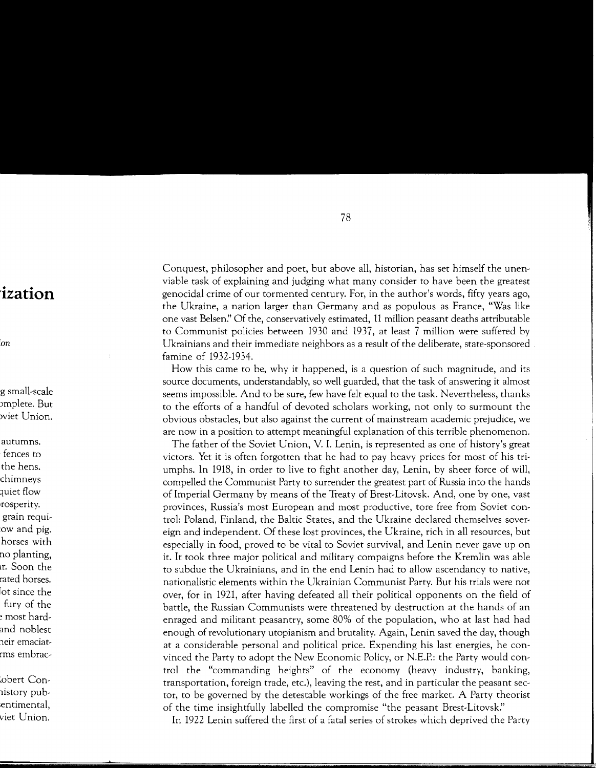Conquest, philosopher and poet, but above all, historian, has set himself the unenviable task of explaining and judging what many consider to have been the greatest genocidal crime of our tormented century. For, in the author's words, fifty years ago, the Ukraine, a nation larger than Germany and as populous as France, "Was like one vast Belsen?' Of the, conservatively estimated, 11 million peasant deaths attributable to Communist policies between 1930 and 1937, at least 7 million were suffered by Ukrainians and their immediate neighbors as a result of the deliberate, state-sponsored . famine of 1932-1934.

How this came to be, why it happened, is a question of such magnitude, and its source documents, understandably, so well guarded, that the task of answering it almost seems impossible. And to be sure, few have felt equal to the task. Nevertheless, thanks to the efforts of a handful of devoted scholars working, not only to surmount the obvious obstacles, but also against the current of mainstream academic prejudice, we are now in a position to attempt meaningful explanation of this terrible phenomenon.

The father of the Soviet Union, V. I. Lenin, is represented as one of history's great victors. Yet it is often forgotten that he had to pay heavy prices for most of his triumphs. In 1918, in order to live to fight another day, Lenin, by sheer force of will, compelled the Communist Party to surrender the greatest part of Russia into the hands of Imperial Germany by means of the Treaty of Brest-Litovsk. And, one by one, vast provinces, Russia's most European and most productive, tore free from Soviet control: Poland, Finland, the Baltic States, and the Ukraine declared themselves sovereign and independent. Of these lost provinces, the Ukraine, rich in all resources, but especially in food, proved to be vital to Soviet survival, and Lenin never gave up on it. It took three major political and military campaigns before the Kremlin was able to subdue the Ukrainians, and in the end Lenin had to allow ascendancy to native, nationalistic elements within the Ukrainian Communist Party. But his trials were not over, for in 1921, after having defeated all their political opponents on the field of battle, the Russian Communists were threatened by destruction at the hands of an enraged and militant peasantry, some 80% of the population, who at last had had enough of revolutionary utopianism and brutality. Again, Lenin saved the day, though at a considerable personal and political price. Expending his last energies, he convinced the Party to adopt the New Economic Policy, or N.E.P.: the Party would control the "commanding heights" of the economy (heavy industry, banking, transportation, foreign trade, etc.), leaving the rest, and in particular the peasant sector, to be governed by the detestable workings of the free market. A Party theorist of the time insightfully labelled the compromise "the peasant Brest-Litovsk?'

In 1922 Lenin suffered the first of a fatal series of strokes which deprived the Party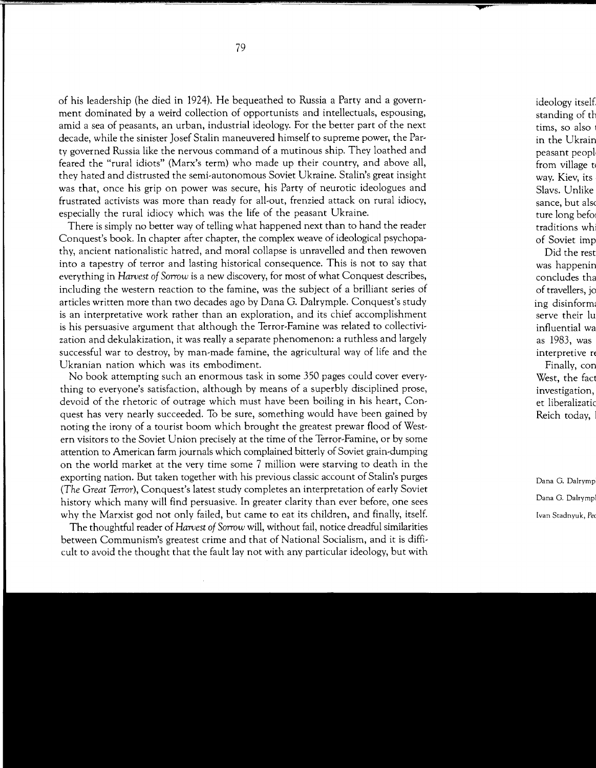of his leadership (he died in 1924). He bequeathed to Russia a Party and a government dominated by a weird collection of opportunists and intellectuals, espousing, amid a sea of peasants, an urban, industrial ideology. For the better part of the next decade, while the sinister Josef Stalin maneuvered himself to supreme power, the Party governed Russia like the nervous command of a mutinous ship. They loathed and feared the "rural idiots" (Marx's term) who made up their country, and above all, they hated and distrusted the semi-autonomous Soviet Ukraine. Stalin's great insight was that, once his grip on power was secure, his Party of neurotic ideologues and frustrated activists was more than ready for all-out, frenzied attack on rural idiocy, especially the rural idiocy which was the life of the peasant Ukraine.

There is simply no better way of telling what happened next than to hand the reader Conquest's book. In chapter after chapter, the complex weave of ideological psychopathy, ancient nationalistic hatred, and moral collapse is unravelled and then rewoven into a tapestry of terror and lasting historical consequence. This is not to say that everything in *Harvest of Sorrow* is a new discovery, for most of what Conquest describes, including the western reaction to the famine, was the subject of a brilliant series df articles written more than two decades ago by Dana G. Dalrymple. Conquest's study is an interpretative work rather than an exploration, and its chief accomplishment is his persuasive argument that although the Terror-Famine was related to collectivization and dekulakization, it was really a separate phenomenon: a ruthless and largely successful war to destroy, by man-made famine, the agricultural way of life and the Ukranian nation which was its embodiment.

No book attempting such an enormous task in some 350 pages could cover everything to everyone's satisfaction, although by means of a superbly disciplined prose, devoid of the rhetoric of outrage which must have been boiling in his heart, Conquest has very nearly succeeded. To be sure, something would have been gained by noting the irony of a tourist boom which brought the greatest prewar flood of Western visitors to the Soviet Union precisely at the time of the Terror-Famine, or by some attention to American farm journals which complained bitterly of Soviet grain-dumping on the world market at the very time some 7 million were starving to death in the exporting nation. But taken together with his previous classic account of Stalin's purges *(The Great* Terror), Conquest's latest study completes an interpretation of early Soviet history which many will find persuasive. In greater clarity than ever before, one sees why the Marxist god not only failed, but came to eat its children, and finally, itself.

The thoughtful reader of *Harvest of Sorrow* will, without fail, notice dreadful similarities between Communism's greatest crime and that of National Socialism, and it is difficult to avoid the thought that the fault lay not with any particular ideology, but with